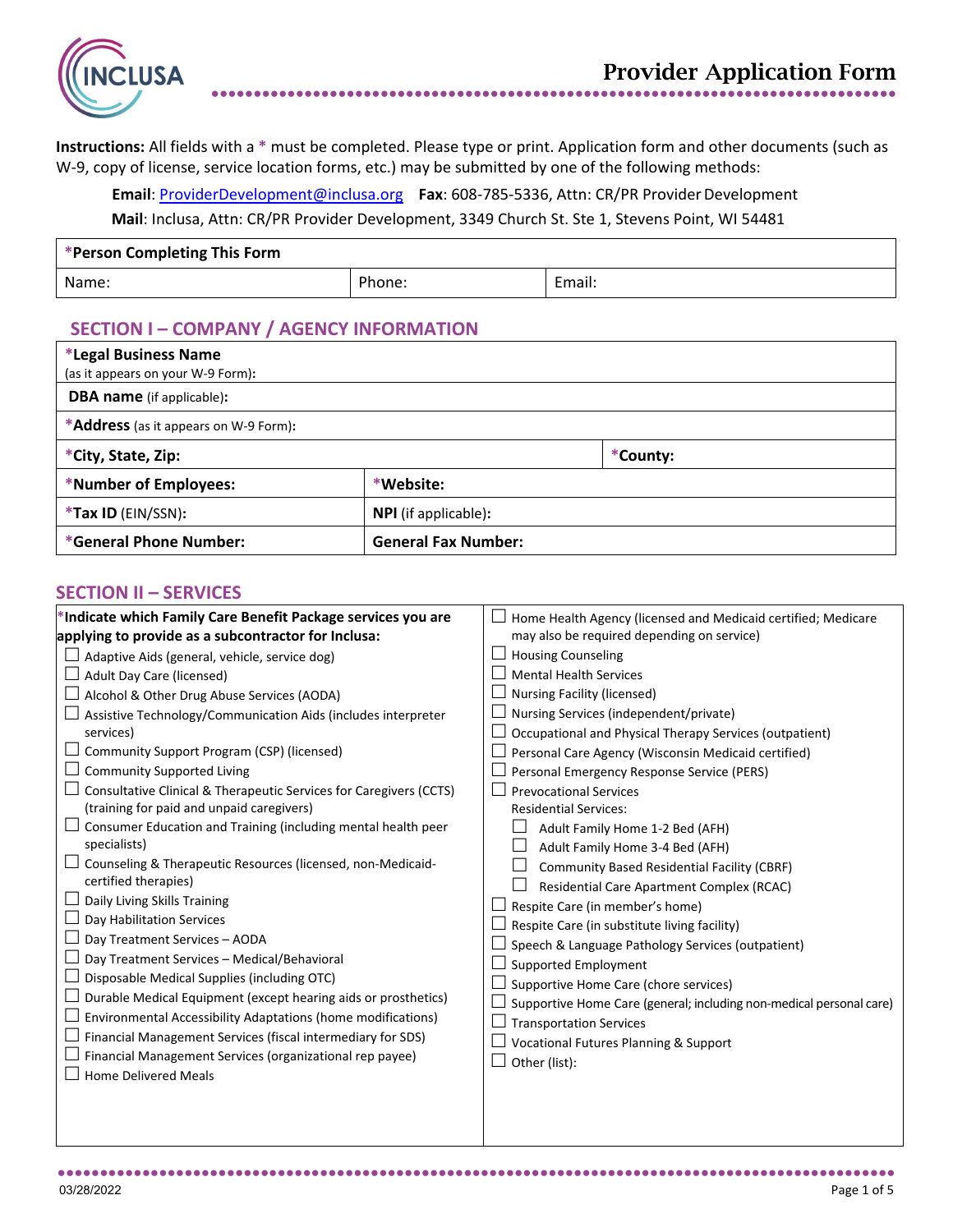

**Instructions:** All fields with a **\*** must be completed. Please type or print. Application form and other documents (such as W-9, copy of license, service location forms, etc.) may be submitted by one of the following methods:

**Email**: [ProviderDevelopment@inclusa.org](mailto:ProviderDevelopment@inclusa.org) **Fax**: 608-785-5336, Attn: CR/PR Provider Development **Mail**: Inclusa, Attn: CR/PR Provider Development, 3349 Church St. Ste 1, Stevens Point, WI 54481

| *Person Completing This Form |        |        |  |
|------------------------------|--------|--------|--|
| Name:                        | Phone: | Email: |  |

# **SECTION I – COMPANY / AGENCY INFORMATION**

| *Legal Business Name                          |                             |          |  |
|-----------------------------------------------|-----------------------------|----------|--|
| (as it appears on your W-9 Form):             |                             |          |  |
| <b>DBA name</b> (if applicable):              |                             |          |  |
| * <b>Address</b> (as it appears on W-9 Form): |                             |          |  |
| *City, State, Zip:                            |                             | *County: |  |
| *Number of Employees:                         | *Website:                   |          |  |
| *Tax ID (EIN/SSN):                            | <b>NPI</b> (if applicable): |          |  |
| *General Phone Number:                        | <b>General Fax Number:</b>  |          |  |

### **SECTION II – SERVICES**

| *Indicate which Family Care Benefit Package services you are       | Home Health Agency (licensed and Medicaid certified; Medicare       |
|--------------------------------------------------------------------|---------------------------------------------------------------------|
| applying to provide as a subcontractor for Inclusa:                | may also be required depending on service)                          |
| Adaptive Aids (general, vehicle, service dog)                      | <b>Housing Counseling</b>                                           |
| Adult Day Care (licensed)                                          | <b>Mental Health Services</b>                                       |
| Alcohol & Other Drug Abuse Services (AODA)                         | <b>Nursing Facility (licensed)</b>                                  |
| Assistive Technology/Communication Aids (includes interpreter      | Nursing Services (independent/private)                              |
| services)                                                          | Occupational and Physical Therapy Services (outpatient)             |
| Community Support Program (CSP) (licensed)                         | Personal Care Agency (Wisconsin Medicaid certified)                 |
| <b>Community Supported Living</b>                                  | Personal Emergency Response Service (PERS)                          |
| Consultative Clinical & Therapeutic Services for Caregivers (CCTS) | <b>Prevocational Services</b>                                       |
| (training for paid and unpaid caregivers)                          | <b>Residential Services:</b>                                        |
| Consumer Education and Training (including mental health peer      | Adult Family Home 1-2 Bed (AFH)                                     |
| specialists)                                                       | Adult Family Home 3-4 Bed (AFH)                                     |
| Counseling & Therapeutic Resources (licensed, non-Medicaid-        | Community Based Residential Facility (CBRF)                         |
| certified therapies)                                               | Residential Care Apartment Complex (RCAC)                           |
| Daily Living Skills Training                                       | Respite Care (in member's home)                                     |
| Day Habilitation Services                                          | Respite Care (in substitute living facility)                        |
| Day Treatment Services - AODA                                      | Speech & Language Pathology Services (outpatient)                   |
| Day Treatment Services - Medical/Behavioral                        | Supported Employment                                                |
| Disposable Medical Supplies (including OTC)                        | Supportive Home Care (chore services)                               |
| Durable Medical Equipment (except hearing aids or prosthetics)     | Supportive Home Care (general; including non-medical personal care) |
| Environmental Accessibility Adaptations (home modifications)       | <b>Transportation Services</b>                                      |
| Financial Management Services (fiscal intermediary for SDS)        | <b>Vocational Futures Planning &amp; Support</b>                    |
| Financial Management Services (organizational rep payee)           | Other (list):                                                       |
| <b>Home Delivered Meals</b>                                        |                                                                     |
|                                                                    |                                                                     |
|                                                                    |                                                                     |
|                                                                    |                                                                     |

●●●●●●●●●●●●●●●●●●●●●●●●●●●●●●●●●●●●●●●●●●●●●●●●●●●●●●●●●●●●●●●●●●●●●●●●●●●●●●●●●●●●●●●●●●●●●●●●●●●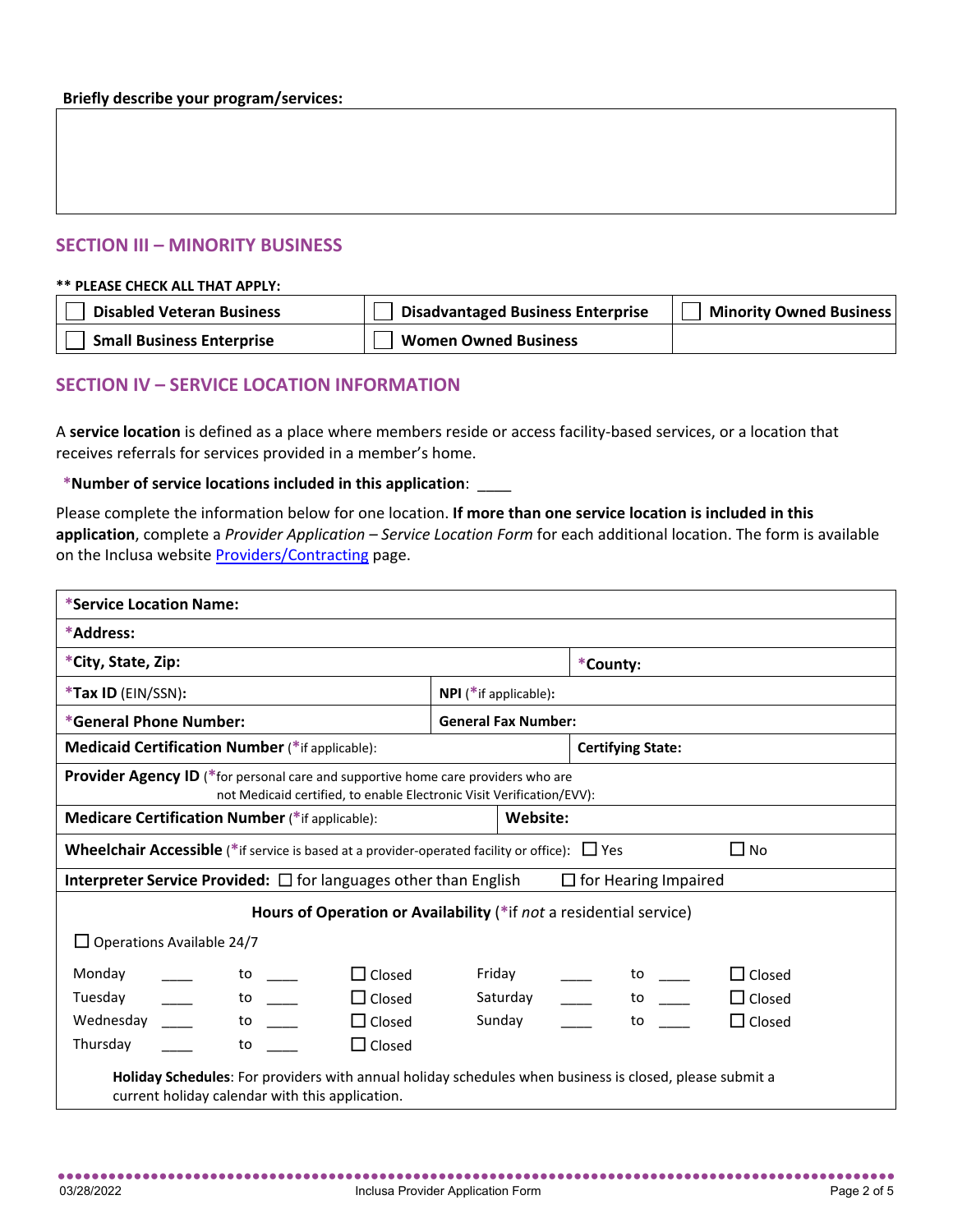### **SECTION III – MINORITY BUSINESS**

#### **\*\* PLEASE CHECK ALL THAT APPLY:**

| <b>Disabled Veteran Business</b> | <b>Disadvantaged Business Enterprise</b> | <b>Minority Owned Business</b> |
|----------------------------------|------------------------------------------|--------------------------------|
| <b>Small Business Enterprise</b> | <b>Women Owned Business</b>              |                                |

## **SECTION IV – SERVICE LOCATION INFORMATION**

A **service location** is defined as a place where members reside or access facility-based services, or a location that receives referrals for services provided in a member's home.

#### **\*Number of service locations included in this application**: \_\_\_\_

Please complete the information below for one location. **If more than one service location is included in this application**, complete a *Provider Application – Service Location Form* for each additional location. The form is available on the Inclusa websit[e Providers/Contracting](https://www.inclusa.org/providers/contracting/) page.

| *Service Location Name:                                                                                                                                           |                                                                    |  |  |
|-------------------------------------------------------------------------------------------------------------------------------------------------------------------|--------------------------------------------------------------------|--|--|
| *Address:                                                                                                                                                         |                                                                    |  |  |
| *City, State, Zip:                                                                                                                                                | *County:                                                           |  |  |
| *Tax ID (EIN/SSN):                                                                                                                                                | NPI (*if applicable):                                              |  |  |
| *General Phone Number:                                                                                                                                            | <b>General Fax Number:</b>                                         |  |  |
| <b>Medicaid Certification Number (*if applicable):</b>                                                                                                            | <b>Certifying State:</b>                                           |  |  |
| <b>Provider Agency ID</b> (*for personal care and supportive home care providers who are<br>not Medicaid certified, to enable Electronic Visit Verification/EVV): |                                                                    |  |  |
| <b>Medicare Certification Number (*if applicable):</b>                                                                                                            | Website:                                                           |  |  |
| <b>Wheelchair Accessible</b> (*if service is based at a provider-operated facility or office): $\Box$ Yes                                                         | $\Box$ No                                                          |  |  |
| <b>Interpreter Service Provided:</b> $\Box$ for languages other than English<br>$\Box$ for Hearing Impaired                                                       |                                                                    |  |  |
|                                                                                                                                                                   | Hours of Operation or Availability (*if not a residential service) |  |  |
| $\Box$ Operations Available 24/7                                                                                                                                  |                                                                    |  |  |
| Monday<br>$\Box$ Closed<br>to to                                                                                                                                  | Friday<br>$\Box$ Closed<br>to to                                   |  |  |
| Tuesday<br>to to<br>$\Box$ Closed                                                                                                                                 | Saturday<br>$\Box$ Closed<br>to to                                 |  |  |
| $\Box$ Closed<br>Wednesday<br>to to                                                                                                                               | $\Box$ Closed<br>Sunday<br>to                                      |  |  |
| $\Box$ Closed<br>Thursday<br>to                                                                                                                                   |                                                                    |  |  |
| Holiday Schedules: For providers with annual holiday schedules when business is closed, please submit a<br>current holiday calendar with this application.        |                                                                    |  |  |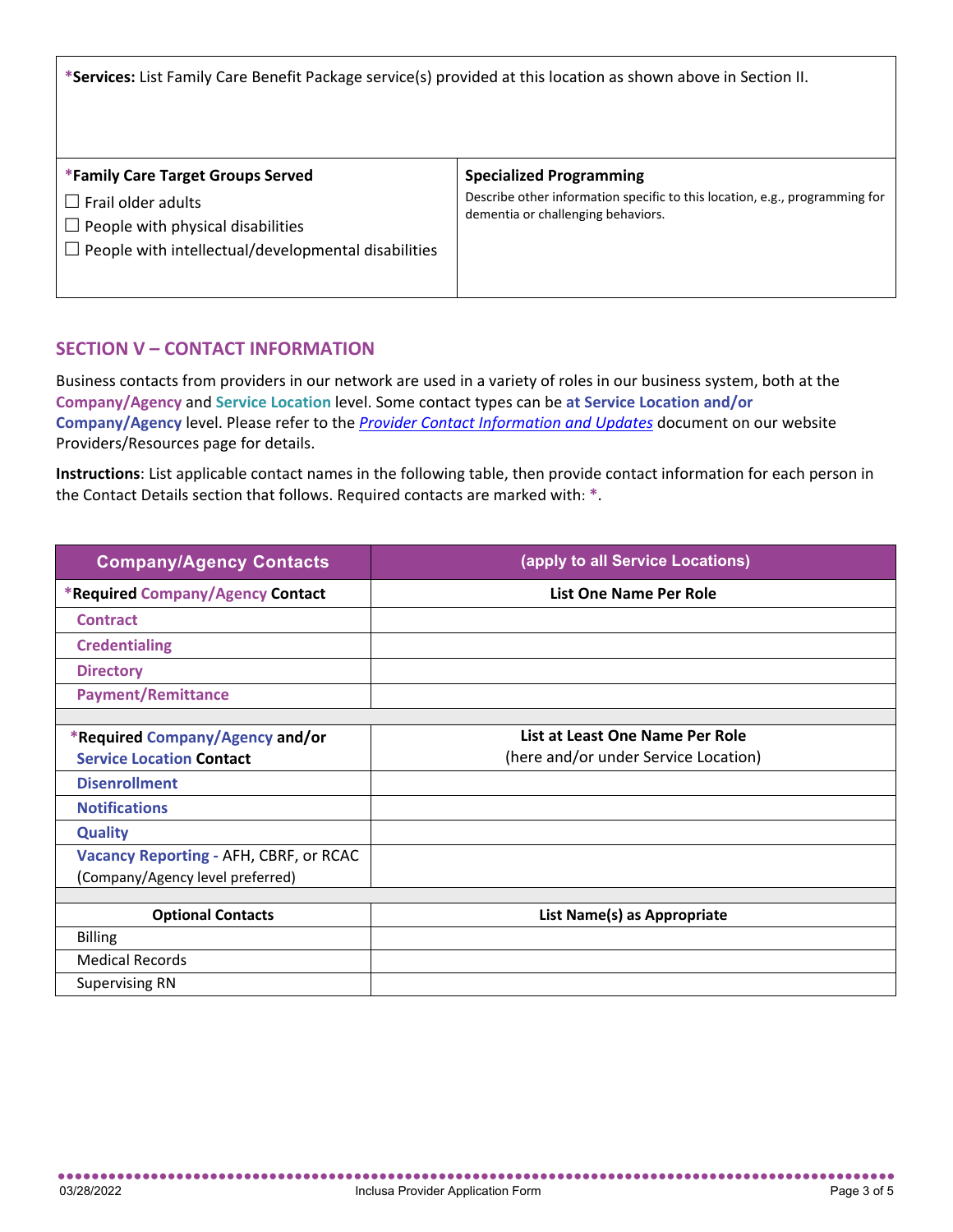**\*Services:** List Family Care Benefit Package service(s) provided at this location as shown above in Section II.

| *Family Care Target Groups Served                                                                                                | <b>Specialized Programming</b>                                                                                    |
|----------------------------------------------------------------------------------------------------------------------------------|-------------------------------------------------------------------------------------------------------------------|
| l Frail older adults<br>$\mathbf{1}$<br>People with physical disabilities<br>People with intellectual/developmental disabilities | Describe other information specific to this location, e.g., programming for<br>dementia or challenging behaviors. |

## **SECTION V – CONTACT INFORMATION**

Business contacts from providers in our network are used in a variety of roles in our business system, both at the **Company/Agency** and **Service Location** level. Some contact types can be **at Service Location and/or Company/Agency** level. Please refer to the *[Provider Contact Information and Updates](https://mk0inclusa6aat4i4ua2.kinstacdn.com/wp-content/uploads/Provider-Contact-Information-and-Updates.pdf)* document on our website Providers/Resources page for details.

**Instructions**: List applicable contact names in the following table, then provide contact information for each person in the Contact Details section that follows. Required contacts are marked with: **\***.

| <b>Company/Agency Contacts</b>                                     | (apply to all Service Locations)                                        |
|--------------------------------------------------------------------|-------------------------------------------------------------------------|
| *Required Company/Agency Contact                                   | List One Name Per Role                                                  |
| <b>Contract</b>                                                    |                                                                         |
| <b>Credentialing</b>                                               |                                                                         |
| <b>Directory</b>                                                   |                                                                         |
| <b>Payment/Remittance</b>                                          |                                                                         |
|                                                                    |                                                                         |
| *Required Company/Agency and/or<br><b>Service Location Contact</b> | List at Least One Name Per Role<br>(here and/or under Service Location) |
| <b>Disenrollment</b>                                               |                                                                         |
| <b>Notifications</b>                                               |                                                                         |
| <b>Quality</b>                                                     |                                                                         |
| Vacancy Reporting - AFH, CBRF, or RCAC                             |                                                                         |
| (Company/Agency level preferred)                                   |                                                                         |
|                                                                    |                                                                         |
| <b>Optional Contacts</b>                                           | List Name(s) as Appropriate                                             |
| <b>Billing</b>                                                     |                                                                         |
| <b>Medical Records</b>                                             |                                                                         |
| <b>Supervising RN</b>                                              |                                                                         |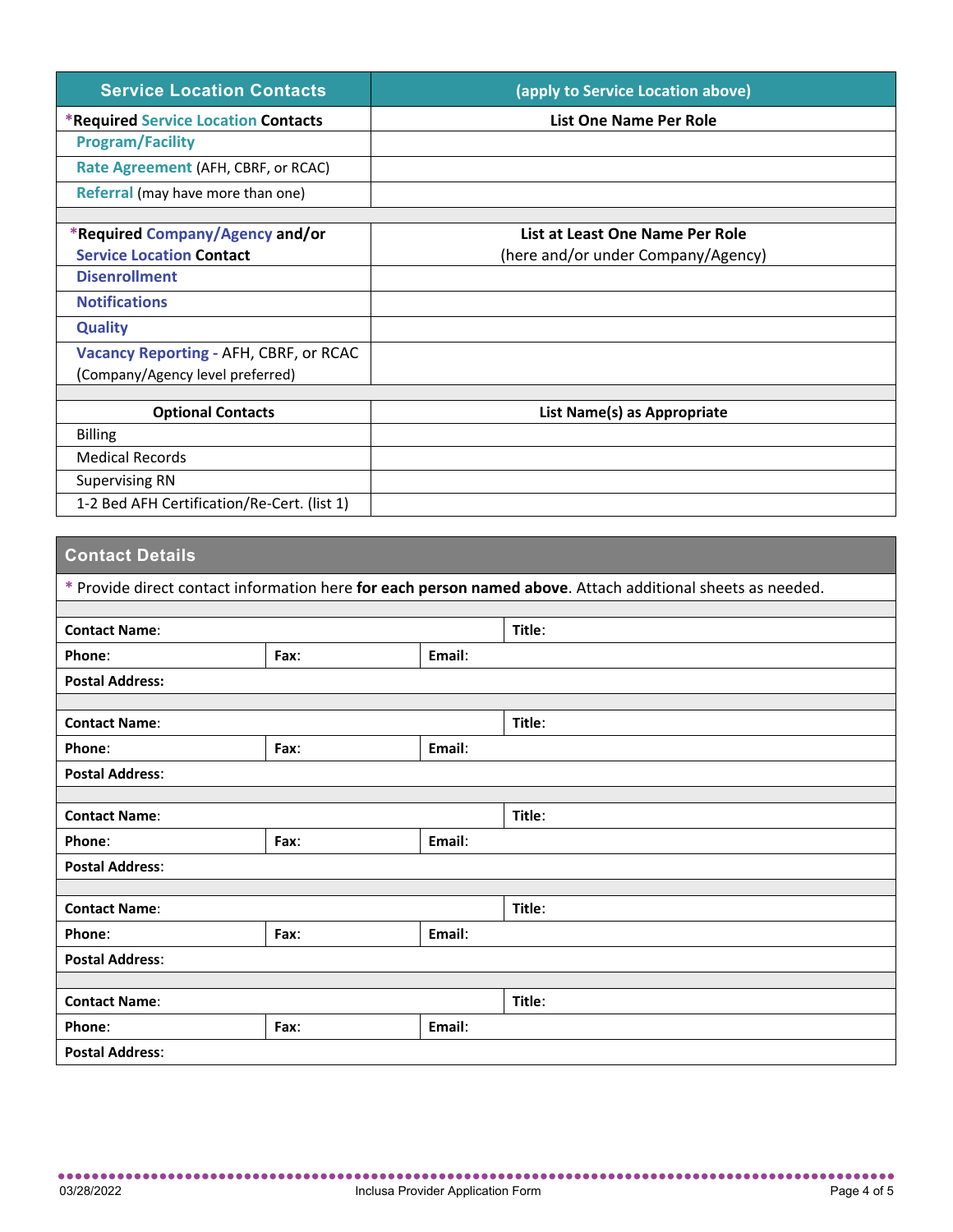| <b>Service Location Contacts</b>            | (apply to Service Location above)  |
|---------------------------------------------|------------------------------------|
| <b>*Required Service Location Contacts</b>  | List One Name Per Role             |
| <b>Program/Facility</b>                     |                                    |
| Rate Agreement (AFH, CBRF, or RCAC)         |                                    |
| Referral (may have more than one)           |                                    |
|                                             |                                    |
| *Required Company/Agency and/or             | List at Least One Name Per Role    |
| <b>Service Location Contact</b>             | (here and/or under Company/Agency) |
| <b>Disenrollment</b>                        |                                    |
| <b>Notifications</b>                        |                                    |
| <b>Quality</b>                              |                                    |
| Vacancy Reporting - AFH, CBRF, or RCAC      |                                    |
| (Company/Agency level preferred)            |                                    |
|                                             |                                    |
| <b>Optional Contacts</b>                    | List Name(s) as Appropriate        |
| <b>Billing</b>                              |                                    |
| <b>Medical Records</b>                      |                                    |
| <b>Supervising RN</b>                       |                                    |
| 1-2 Bed AFH Certification/Re-Cert. (list 1) |                                    |

# **Contact Details**

| * Provide direct contact information here for each person named above. Attach additional sheets as needed. |      |        |        |  |
|------------------------------------------------------------------------------------------------------------|------|--------|--------|--|
| <b>Contact Name:</b>                                                                                       |      | Title: |        |  |
| Phone:                                                                                                     | Fax: | Email: |        |  |
| <b>Postal Address:</b>                                                                                     |      |        |        |  |
| <b>Contact Name:</b>                                                                                       |      | Title: |        |  |
| Phone:                                                                                                     | Fax: | Email: |        |  |
| <b>Postal Address:</b>                                                                                     |      |        |        |  |
|                                                                                                            |      |        |        |  |
| <b>Contact Name:</b>                                                                                       |      |        | Title: |  |
| Phone:                                                                                                     | Fax: | Email: |        |  |
| <b>Postal Address:</b>                                                                                     |      |        |        |  |
|                                                                                                            |      |        |        |  |
| <b>Contact Name:</b>                                                                                       |      | Title: |        |  |
| Phone:                                                                                                     | Fax: | Email: |        |  |
| <b>Postal Address:</b>                                                                                     |      |        |        |  |
|                                                                                                            |      |        |        |  |
| <b>Contact Name:</b>                                                                                       |      | Title: |        |  |
| Phone:                                                                                                     | Fax: | Email: |        |  |
| <b>Postal Address:</b>                                                                                     |      |        |        |  |